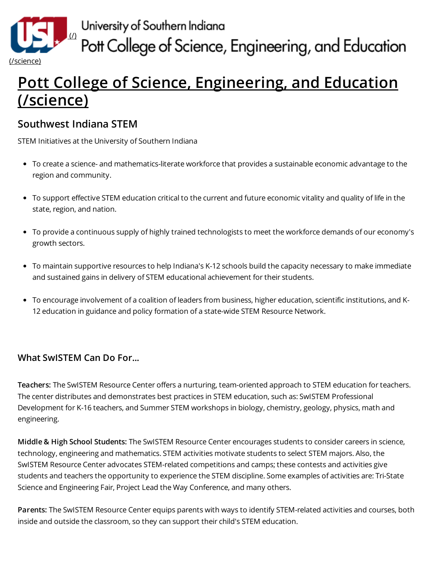

University of Southern Indiana<br>Pott College of Science, Engineering, and Education

## Pott College of Science, [Engineering,](http://www.usi.edu/science) and Education (/science)

## Southwest Indiana STEM

STEM Initiatives at the University of Southern Indiana

- To create a science- and mathematics-literate workforce that provides a sustainable economic advantage to the region and community.
- To support effective STEM education critical to the current and future economic vitality and quality of life in the state, region, and nation.
- To provide a continuous supply of highly trained technologists to meet the workforce demands of our economy's growth sectors.
- To maintain supportive resources to help Indiana's K-12 schools build the capacity necessary to make immediate and sustained gains in delivery of STEM educational achievement for their students.
- To encourage involvement of a coalition of leaders from business, higher education, scientific institutions, and K-12 education in guidance and policy formation of a state-wide STEM Resource Network.

## What SwISTEM Can Do For...

Teachers: The SwISTEM Resource Center offers a nurturing, team-oriented approach to STEM education for teachers. The center distributes and demonstrates best practices in STEM education, such as: SwISTEM Professional Development for K-16 teachers, and Summer STEM workshops in biology, chemistry, geology, physics, math and engineering.

Middle & High School Students: The SwISTEM Resource Center encourages students to consider careers in science, technology, engineering and mathematics. STEM activities motivate students to select STEM majors. Also, the SwISTEM Resource Center advocates STEM-related competitions and camps; these contests and activities give students and teachers the opportunity to experience the STEM discipline. Some examples of activities are: Tri-State Science and Engineering Fair, Project Lead the Way Conference, and many others.

Parents: The SwISTEM Resource Center equips parents with ways to identify STEM-related activities and courses, both inside and outside the classroom, so they can support their child's STEM education.